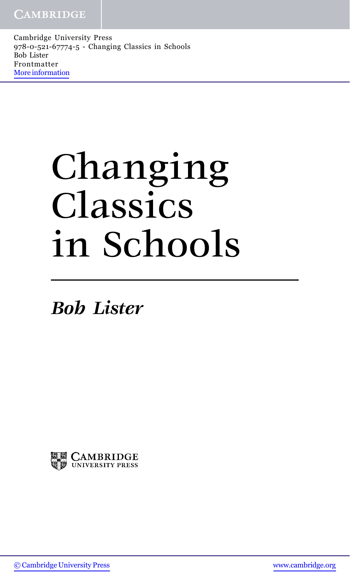# Changing Classics in Schools

*Bob Lister*

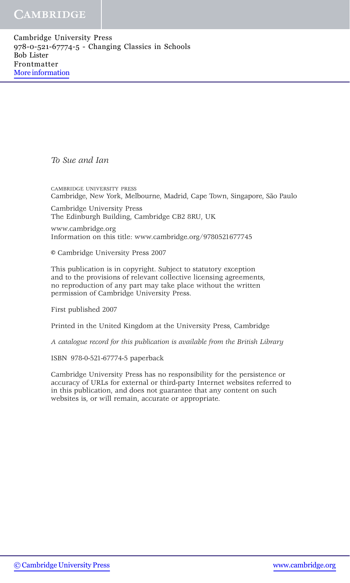#### **CAMBRIDGE**

Cambridge University Press 978-0-521-67774-5 - Changing Classics in Schools Bob Lister Frontmatter [More information](http://www.cambridge.org/0521677742)

*To Sue and Ian*

CAMBRIDGE UNIVERSITY PRESS Cambridge, New York, Melbourne, Madrid, Cape Town, Singapore, São Paulo

Cambridge University Press The Edinburgh Building, Cambridge CB2 8RU, UK

www.cambridge.org Information on this title: www.cambridge.org/9780521677745

© Cambridge University Press 2007

This publication is in copyright. Subject to statutory exception and to the provisions of relevant collective licensing agreements, no reproduction of any part may take place without the written permission of Cambridge University Press.

First published 2007

Printed in the United Kingdom at the University Press, Cambridge

*A catalogue record for this publication is available from the British Library*

ISBN 978-0-521-67774-5 paperback

Cambridge University Press has no responsibility for the persistence or accuracy of URLs for external or third-party Internet websites referred to in this publication, and does not guarantee that any content on such websites is, or will remain, accurate or appropriate.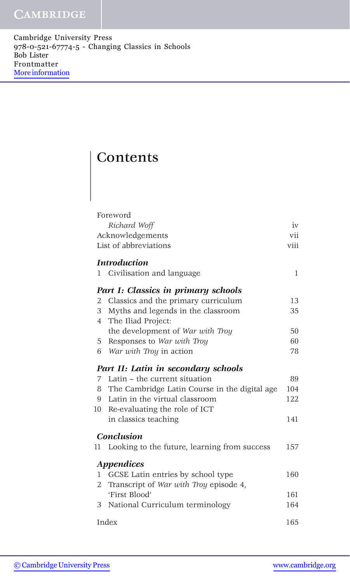## **Contents**

|                  | Foreword                                      |      |
|------------------|-----------------------------------------------|------|
|                  | Richard Woff                                  | iv   |
| Acknowledgements |                                               | vii  |
|                  | List of abbreviations                         | viii |
|                  | <b>Introduction</b>                           |      |
| 1                | Civilisation and language                     | 1    |
|                  | Part I: Classics in primary schools           |      |
| 2                | Classics and the primary curriculum           | 13   |
| 3                | Myths and legends in the classroom            | 35   |
| 4                | The Iliad Project:                            |      |
|                  | the development of War with Troy              | 50   |
| 5                | Responses to War with Troy                    | 60   |
| 6                | War with Troy in action                       | 78   |
|                  | Part II: Latin in secondary schools           |      |
| 7                | Latin – the current situation                 | 89   |
| 8                | The Cambridge Latin Course in the digital age | 104  |
| 9                | Latin in the virtual classroom                | 122  |
| 10               | Re-evaluating the role of ICT                 |      |
|                  | in classics teaching                          | 141  |
|                  | Conclusion                                    |      |
| 11               | Looking to the future, learning from success  | 157  |
|                  | Appendices                                    |      |
| 1                | GCSE Latin entries by school type             | 160  |
| 2                | Transcript of War with Troy episode 4,        |      |
|                  | 'First Blood'                                 | 161  |
| 3                | National Curriculum terminology               | 164  |
| Index            |                                               | 165  |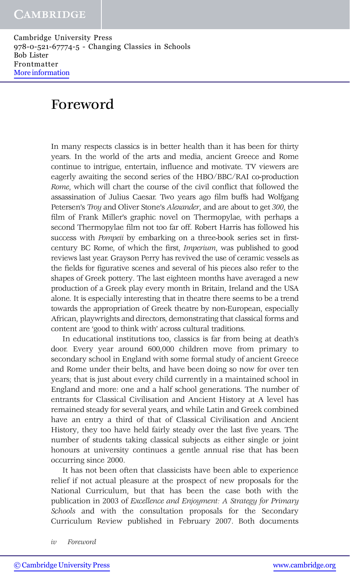# Foreword

In many respects classics is in better health than it has been for thirty years. In the world of the arts and media, ancient Greece and Rome continue to intrigue, entertain, influence and motivate. TV viewers are eagerly awaiting the second series of the HBO/BBC/RAI co-production *Rome*, which will chart the course of the civil conflict that followed the assassination of Julius Caesar. Two years ago film buffs had Wolfgang Petersen's *Troy* and Oliver Stone's *Alexander*, and are about to get *300*, the film of Frank Miller's graphic novel on Thermopylae, with perhaps a second Thermopylae film not too far off. Robert Harris has followed his success with *Pompeii* by embarking on a three-book series set in firstcentury BC Rome, of which the first, *Imperium*, was published to good reviews last year. Grayson Perry has revived the use of ceramic vessels as the fields for figurative scenes and several of his pieces also refer to the shapes of Greek pottery. The last eighteen months have averaged a new production of a Greek play every month in Britain, Ireland and the USA alone. It is especially interesting that in theatre there seems to be a trend towards the appropriation of Greek theatre by non-European, especially African, playwrights and directors, demonstrating that classical forms and content are 'good to think with' across cultural traditions.

In educational institutions too, classics is far from being at death's door. Every year around 600,000 children move from primary to secondary school in England with some formal study of ancient Greece and Rome under their belts, and have been doing so now for over ten years; that is just about every child currently in a maintained school in England and more: one and a half school generations. The number of entrants for Classical Civilisation and Ancient History at A level has remained steady for several years, and while Latin and Greek combined have an entry a third of that of Classical Civilisation and Ancient History, they too have held fairly steady over the last five years. The number of students taking classical subjects as either single or joint honours at university continues a gentle annual rise that has been occurring since 2000.

It has not been often that classicists have been able to experience relief if not actual pleasure at the prospect of new proposals for the National Curriculum, but that has been the case both with the publication in 2003 of *Excellence and Enjoyment: A Strategy for Primary Schools* and with the consultation proposals for the Secondary Curriculum Review published in February 2007. Both documents

*iv Foreword*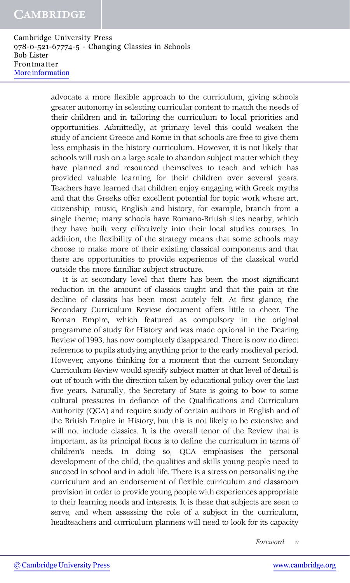#### **CAMBRIDGE**

Cambridge University Press 978-0-521-67774-5 - Changing Classics in Schools Bob Lister Frontmatter [More information](http://www.cambridge.org/0521677742)

> advocate a more flexible approach to the curriculum, giving schools greater autonomy in selecting curricular content to match the needs of their children and in tailoring the curriculum to local priorities and opportunities. Admittedly, at primary level this could weaken the study of ancient Greece and Rome in that schools are free to give them less emphasis in the history curriculum. However, it is not likely that schools will rush on a large scale to abandon subject matter which they have planned and resourced themselves to teach and which has provided valuable learning for their children over several years. Teachers have learned that children enjoy engaging with Greek myths and that the Greeks offer excellent potential for topic work where art, citizenship, music, English and history, for example, branch from a single theme; many schools have Romano-British sites nearby, which they have built very effectively into their local studies courses. In addition, the flexibility of the strategy means that some schools may choose to make more of their existing classical components and that there are opportunities to provide experience of the classical world outside the more familiar subject structure.

> It is at secondary level that there has been the most significant reduction in the amount of classics taught and that the pain at the decline of classics has been most acutely felt. At first glance, the Secondary Curriculum Review document offers little to cheer. The Roman Empire, which featured as compulsory in the original programme of study for History and was made optional in the Dearing Review of 1993, has now completely disappeared. There is now no direct reference to pupils studying anything prior to the early medieval period. However, anyone thinking for a moment that the current Secondary Curriculum Review would specify subject matter at that level of detail is out of touch with the direction taken by educational policy over the last five years. Naturally, the Secretary of State is going to bow to some cultural pressures in defiance of the Qualifications and Curriculum Authority (QCA) and require study of certain authors in English and of the British Empire in History, but this is not likely to be extensive and will not include classics. It is the overall tenor of the Review that is important, as its principal focus is to define the curriculum in terms of children's needs. In doing so, QCA emphasises the personal development of the child, the qualities and skills young people need to succeed in school and in adult life. There is a stress on personalising the curriculum and an endorsement of flexible curriculum and classroom provision in order to provide young people with experiences appropriate to their learning needs and interests. It is these that subjects are seen to serve, and when assessing the role of a subject in the curriculum, headteachers and curriculum planners will need to look for its capacity

> > *Foreword v*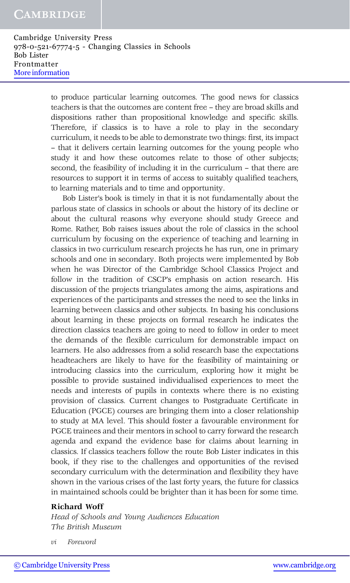#### **CAMBRIDGE**

Cambridge University Press 978-0-521-67774-5 - Changing Classics in Schools Bob Lister Frontmatter [More information](http://www.cambridge.org/0521677742)

> to produce particular learning outcomes. The good news for classics teachers is that the outcomes are content free – they are broad skills and dispositions rather than propositional knowledge and specific skills. Therefore, if classics is to have a role to play in the secondary curriculum, it needs to be able to demonstrate two things: first, its impact – that it delivers certain learning outcomes for the young people who study it and how these outcomes relate to those of other subjects; second, the feasibility of including it in the curriculum – that there are resources to support it in terms of access to suitably qualified teachers, to learning materials and to time and opportunity.

> Bob Lister's book is timely in that it is not fundamentally about the parlous state of classics in schools or about the history of its decline or about the cultural reasons why everyone should study Greece and Rome. Rather, Bob raises issues about the role of classics in the school curriculum by focusing on the experience of teaching and learning in classics in two curriculum research projects he has run, one in primary schools and one in secondary. Both projects were implemented by Bob when he was Director of the Cambridge School Classics Project and follow in the tradition of CSCP's emphasis on action research. His discussion of the projects triangulates among the aims, aspirations and experiences of the participants and stresses the need to see the links in learning between classics and other subjects. In basing his conclusions about learning in these projects on formal research he indicates the direction classics teachers are going to need to follow in order to meet the demands of the flexible curriculum for demonstrable impact on learners. He also addresses from a solid research base the expectations headteachers are likely to have for the feasibility of maintaining or introducing classics into the curriculum, exploring how it might be possible to provide sustained individualised experiences to meet the needs and interests of pupils in contexts where there is no existing provision of classics. Current changes to Postgraduate Certificate in Education (PGCE) courses are bringing them into a closer relationship to study at MA level. This should foster a favourable environment for PGCE trainees and their mentors in school to carry forward the research agenda and expand the evidence base for claims about learning in classics. If classics teachers follow the route Bob Lister indicates in this book, if they rise to the challenges and opportunities of the revised secondary curriculum with the determination and flexibility they have shown in the various crises of the last forty years, the future for classics in maintained schools could be brighter than it has been for some time.

#### **Richard Woff**

*Head of Schools and Young Audiences Education The British Museum*

*vi Foreword*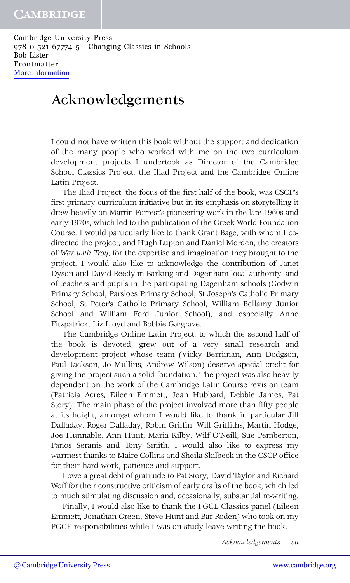### Acknowledgements

I could not have written this book without the support and dedication of the many people who worked with me on the two curriculum development projects I undertook as Director of the Cambridge School Classics Project, the Iliad Project and the Cambridge Online Latin Project.

The Iliad Project, the focus of the first half of the book, was CSCP's first primary curriculum initiative but in its emphasis on storytelling it drew heavily on Martin Forrest's pioneering work in the late 1960s and early 1970s, which led to the publication of the Greek World Foundation Course. I would particularly like to thank Grant Bage, with whom I codirected the project, and Hugh Lupton and Daniel Morden, the creators of *War with Troy*, for the expertise and imagination they brought to the project. I would also like to acknowledge the contribution of Janet Dyson and David Reedy in Barking and Dagenham local authority and of teachers and pupils in the participating Dagenham schools (Godwin Primary School, Parsloes Primary School, St Joseph's Catholic Primary School, St Peter's Catholic Primary School, William Bellamy Junior School and William Ford Junior School), and especially Anne Fitzpatrick, Liz Lloyd and Bobbie Gargrave.

The Cambridge Online Latin Project, to which the second half of the book is devoted, grew out of a very small research and development project whose team (Vicky Berriman, Ann Dodgson, Paul Jackson, Jo Mullins, Andrew Wilson) deserve special credit for giving the project such a solid foundation. The project was also heavily dependent on the work of the Cambridge Latin Course revision team (Patricia Acres, Eileen Emmett, Jean Hubbard, Debbie James, Pat Story). The main phase of the project involved more than fifty people at its height, amongst whom I would like to thank in particular Jill Dalladay, Roger Dalladay, Robin Griffin, Will Griffiths, Martin Hodge, Joe Hunnable, Ann Hunt, Maria Kilby, Wilf O'Neill, Sue Pemberton, Panos Seranis and Tony Smith. I would also like to express my warmest thanks to Maire Collins and Sheila Skilbeck in the CSCP office for their hard work, patience and support.

I owe a great debt of gratitude to Pat Story, David Taylor and Richard Woff for their constructive criticism of early drafts of the book, which led to much stimulating discussion and, occasionally, substantial re-writing.

Finally, I would also like to thank the PGCE Classics panel (Eileen Emmett, Jonathan Green, Steve Hunt and Bar Roden) who took on my PGCE responsibilities while I was on study leave writing the book.

*Acknowledgements vii*